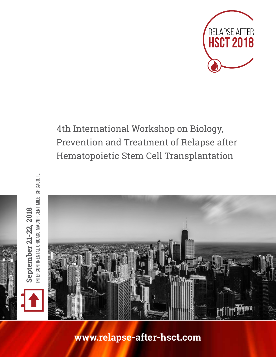

# 4th International Workshop on Biology, Prevention and Treatment of Relapse after Hematopoietic Stem Cell Transplantation



**www.relapse-after-hsct.com**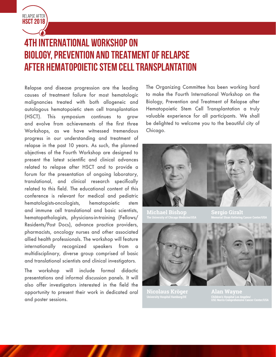**RELAPSE AFTER HSCT 2018** 

# **4TH INTERNATIONAL WORKSHOP ON BIOLOGY, PREVENTION AND TREATMENT OF RELAPSE AFTER HEMATOPOIETIC STEM CELL TRANSPLANTATION**

Relapse and disease progression are the leading causes of treatment failure for most hematologic malignancies treated with both allogeneic and autologous hematopoietic stem cell transplantation (HSCT). This symposium continues to grow and evolve from achievements of the first three Workshops, as we have witnessed tremendous progress in our understanding and treatment of relapse in the past 10 years. As such, the planned objectives of the Fourth Workshop are designed to present the latest scientific and clinical advances related to relapse after HSCT and to provide a forum for the presentation of ongoing laboratory, translational, and clinical research specifically related to this field. The educational content of this conference is relevant for medical and pediatric hematologists-oncologists, hematopoietic stem and immune cell translational and basic scientists, hematopathologists, physicians-in-training (Fellows/ Residents/Post Docs), advance practice providers, pharmacists, oncology nurses and other associated allied health professionals. The workshop will feature internationally recognized speakers from a multidisciplinary, diverse group comprised of basic and translational scientists and clinical investigators.

The workshop will include formal didactic presentations and informal discussion panels. It will also offer investigators interested in the field the opportunity to present their work in dedicated oral and poster sessions.

The Organizing Committee has been working hard to make the Fourth International Workshop on the Biology, Prevention and Treatment of Relapse after Hematopoietic Stem Cell Transplantation a truly valuable experience for all participants. We shall be delighted to welcome you to the beautiful city of Chicago.



**Michael Bishop**

**Sergio Giralt**



**Nicolaus Kröger** 

**Alan Wayne Children's Hospital Los Angeles/ USC Norris Comprehensive Cancer Center/USA**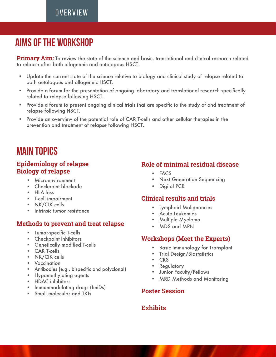### **OVERVIEW**

# **AIMS OF THE WORKSHOP**

**Primary Aim:** To review the state of the science and basic, translational and clinical research related to relapse after both allogeneic and autologous HSCT.

- Update the current state of the science relative to biology and clinical study of relapse related to both autologous and allogeneic HSCT.
- Provide a forum for the presentation of ongoing laboratory and translational research specifically related to relapse following HSCT.
- Provide a forum to present ongoing clinical trials that are specific to the study of and treatment of relapse following HSCT.
- Provide an overview of the potential role of CAR T-cells and other cellular therapies in the prevention and treatment of relapse following HSCT.

# **MAIN TOPICS**

#### **Epidemiology of relapse Biology of relapse**

- Microenvironment
- Checkpoint blockade
- HLA-loss
- T-cell impairment
- NK/CIK cells
- Intrinsic tumor resistance

#### **Methods to prevent and treat relapse**

- Tumor-specific T-cells
- Checkpoint inhibitors
- Genetically modified T-cells
- CAR T-cells
- NK/CIK cells
- Vaccination
- Antibodies (e.g., bispecific and polyclonal)
- Hypomethylating agents
- HDAC inhibitors
- Immunmodulating drugs (ImiDs)
- Small molecular and TKIs

#### **Role of minimal residual disease**

- FACS
- Next Generation Sequencing
- Digital PCR

#### **Clinical results and trials**

- Lymphoid Malignancies
- Acute Leukemias
- Multiple Myeloma
- MDS and MPN

#### **Workshops (Meet the Experts)**

- Basic Immunology for Transplant
- Trial Design/Biostatistics
- CRS
- Regulatory
- Junior Faculty/Fellows
- MRD Methods and Monitoring

#### **Poster Session**

#### **Exhibits**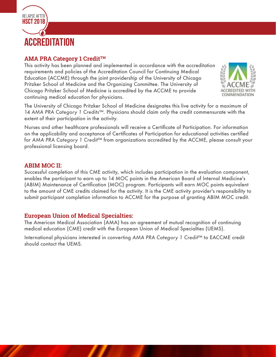

#### **AMA PRA Category 1 Credit™**

This activity has been planned and implemented in accordance with the accreditation requirements and policies of the Accreditation Council for Continuing Medical Education (ACCME) through the joint providership of the University of Chicago Pritzker School of Medicine and the Organizing Committee. The University of Chicago Pritzker School of Medicine is accredited by the ACCME to provide continuing medical education for physicians.



The University of Chicago Pritzker School of Medicine designates this live activity for a maximum of 14 *AMA PRA Category 1 Credits™*. Physicians should claim only the credit commensurate with the extent of their participation in the activity.

Nurses and other healthcare professionals will receive a Certificate of Participation. For information on the applicability and acceptance of Certificates of Participation for educational activities certified for *AMA PRA Category 1 Credit™* from organizations accredited by the ACCME, please consult your professional licensing board.

#### **ABIM MOC II:**

Successful completion of this CME activity, which includes participation in the evaluation component, enables the participant to earn up to 14 MOC points in the American Board of Internal Medicine's (ABIM) Maintenance of Certification (MOC) program. Participants will earn MOC points equivalent to the amount of CME credits claimed for the activity. It is the CME activity provider's responsibility to submit participant completion information to ACCME for the purpose of granting ABIM MOC credit.

#### **European Union of Medical Specialties:**

The American Medical Association (AMA) has an agreement of mutual recognition of continuing medical education (CME) credit with the European Union of Medical Specialties (UEMS).

International physicians interested in converting *AMA PRA Category 1 Credit™* to EACCME credit should contact the UEMS.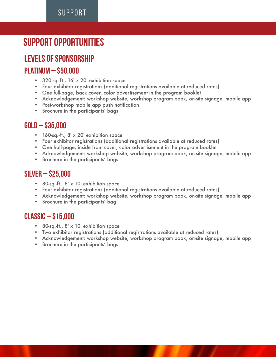### SUPPORT

# **SUPPORT OPPORTUNITIES**

## **Levels OF SPONSORSHIP**

### **Platinum – \$50,000**

- 320-sq.-ft., 16' x 20' exhibition space
- Four exhibitor registrations (additional registrations available at reduced rates)
- One full-page, back cover, color advertisement in the program booklet
- Acknowledgement: workshop website, workshop program book, on-site signage, mobile app
- Post-workshop mobile app push notification
- Brochure in the participants' bags

### **Gold – \$35,000**

- 160-sq.-ft., 8' x 20' exhibition space
- Four exhibitor registrations (additional registrations available at reduced rates)
- One half-page, inside front cover, color advertisement in the program booklet
- Acknowledgement: workshop website, workshop program book, on-site signage, mobile app
- Brochure in the participants' bags

### **Silver – \$25,000**

- 80-sq.-ft., 8' x 10' exhibition space
- Four exhibitor registrations (additional registrations available at reduced rates)
- Acknowledgement: workshop website, workshop program book, on-site signage, mobile app
- Brochure in the participants' bag

### **Classic – \$15,000**

- 80-sq.-ft., 8' x 10' exhibition space
- Two exhibitor registrations (additional registrations available at reduced rates)
- Acknowledgement: workshop website, workshop program book, on-site signage, mobile app
- Brochure in the participants' bags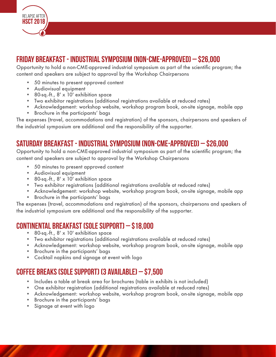

### **Friday Breakfast - INDUSTRIAL SYMPOSIUM (NON-CME-APPROVED) – \$26,000**

Opportunity to hold a non-CME-approved industrial symposium as part of the scientific program; the content and speakers are subject to approval by the Workshop Chairpersons

- 50 minutes to present approved content
- Audiovisual equipment
- 80-sq.-ft., 8' x 10' exhibition space
- Two exhibitor registrations (additional registrations available at reduced rates)
- Acknowledgement: workshop website, workshop program book, on-site signage, mobile app
- Brochure in the participants' bags

The expenses (travel, accommodations and registration) of the sponsors, chairpersons and speakers of the industrial symposium are additional and the responsibility of the supporter.

### **Saturday Breakfast - INDUSTRIAL SYMPOSIUM (NON-CME-APPROVED) – \$26,000**

Opportunity to hold a non-CME-approved industrial symposium as part of the scientific program; the content and speakers are subject to approval by the Workshop Chairpersons

- 50 minutes to present approved content
- Audiovisual equipment
- 80-sq.-ft., 8' x 10' exhibition space
- Two exhibitor registrations (additional registrations available at reduced rates)
- Acknowledgement: workshop website, workshop program book, on-site signage, mobile app
- Brochure in the participants' bags

The expenses (travel, accommodations and registration) of the sponsors, chairpersons and speakers of the industrial symposium are additional and the responsibility of the supporter.

## **Continental Breakfast (Sole Support) – \$18,000**

- 80-sq.-ft., 8' x 10' exhibition space
- Two exhibitor registrations (additional registrations available at reduced rates)
- Acknowledgement: workshop website, workshop program book, on-site signage, mobile app
- Brochure in the participants' bags
- Cocktail napkins and signage at event with logo

## **Coffee Breaks (Sole Support) (3 available) – \$7,500**

- Includes a table at break area for brochures (table in exhibits is not included)
- One exhibitor registration (additional registrations available at reduced rates)
- Acknowledgement: workshop website, workshop program book, on-site signage, mobile app
- Brochure in the participants' bags
- Signage at event with logo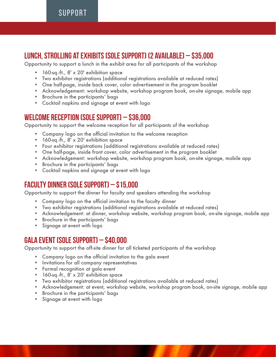SUPPORT

## **Lunch, strolling at exhibits (Sole Support) (2 available) – \$35,000**

Opportunity to support a lunch in the exhibit area for all participants of the workshop

- 160-sq.-ft., 8' x 20' exhibition space
- Two exhibitor registrations (additional registrations available at reduced rates)
- One half-page, inside back cover, color advertisement in the program booklet
- Acknowledgement: workshop website, workshop program book, on-site signage, mobile app
- Brochure in the participants' bags
- Cocktail napkins and signage at event with logo

### **WELCOME RECEPTION (Sole Support) – \$36,000**

Opportunity to support the welcome reception for all participants of the workshop

- Company logo on the official invitation to the welcome reception
- 160-sq.-ft., 8' x 20' exhibition space
- Four exhibitor registrations (additional registrations available at reduced rates)
- One half-page, inside front cover, color advertisement in the program booklet
- Acknowledgement: workshop website, workshop program book, on-site signage, mobile app
- Brochure in the participants' bags
- Cocktail napkins and signage at event with logo

### **Faculty Dinner (Sole Support) – \$15,000**

Opportunity to support the dinner for faculty and speakers attending the workshop

- Company logo on the official invitation to the faculty dinner
- Two exhibitor registrations (additional registrations available at reduced rates)
- Acknowledgement: at dinner, workshop website, workshop program book, on-site signage, mobile app
- Brochure in the participants' bags
- Signage at event with logo

### **Gala Event (Sole Support) – \$40,000**

Opportunity to support the off-site dinner for all ticketed participants of the workshop

- Company logo on the official invitation to the gala event
- Invitations for all company representatives
- Formal recognition at gala event
- 160-sq.-ft., 8' x 20' exhibition space
- Two exhibitor registrations (additional registrations available at reduced rates)
- Acknowledgement: at event, workshop website, workshop program book, on-site signage, mobile app
- Brochure in the participants' bags
- Signage at event with logo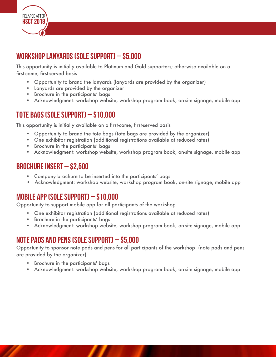

## **Workshop Lanyards (Sole Support) – \$5,000**

This opportunity is initially available to Platinum and Gold supporters; otherwise available on a first-come, first-served basis

- Opportunity to brand the lanyards (lanyards are provided by the organizer)
- Lanyards are provided by the organizer
- Brochure in the participants' bags
- Acknowledgment: workshop website, workshop program book, on-site signage, mobile app

### **Tote Bags (Sole Support) – \$10,000**

This opportunity is initially available on a first-come, first-served basis

- Opportunity to brand the tote bags (tote bags are provided by the organizer)
- One exhibitor registration (additional registrations available at reduced rates)
- Brochure in the participants' bags
- Acknowledgment: workshop website, workshop program book, on-site signage, mobile app

### **Brochure Insert – \$2,500**

- Company brochure to be inserted into the participants' bags
- Acknowledgment: workshop website, workshop program book, on-site signage, mobile app

### **Mobile App (Sole Support) – \$10,000**

Opportunity to support mobile app for all participants of the workshop

- One exhibitor registration (additional registrations available at reduced rates)
- Brochure in the participants' bags
- Acknowledgment: workshop website, workshop program book, on-site signage, mobile app

### **Note Pads and Pens (Sole Support) – \$5,000**

Opportunity to sponsor note pads and pens for all participants of the workshop (note pads and pens are provided by the organizer)

- Brochure in the participants' bags
- Acknowledgment: workshop website, workshop program book, on-site signage, mobile app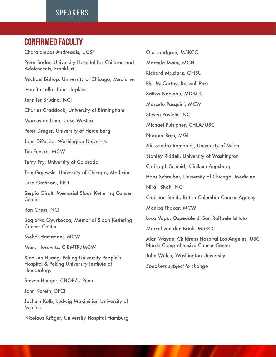### SPEAKERS

### **Confirmed Faculty**

Charalambos Andreadis, UCSF Peter Bader, University Hospital for Children and Adolescents, Frankfurt Michael Bishop, University of Chicago, Medicine Ivan Borrella, John Hopkins Jennifer Brudno, NCI Charles Craddock, University of Birmingham Marcos de Lima, Case Western Peter Dreger, University of Heidelberg John DiPersio, Washington University Tim Fenske, MCW Terry Fry, University of Colorado Tom Gajewski, University of Chicago, Medicine Luca Gattinoni, NCI Sergio Giralt, Memorial Sloan Kettering Cancer **Center** Ron Gress, NCI Boglarka Gyurkocza, Memorial Sloan Kettering Cancer Center Mehdi Hamadani, MCW Mary Horowitz, CIBMTR/MCW Xiao-Jun Huang, Peking University People's Hospital & Peking University Institute of Hematology Steven Hunger, CHOP/U Penn John Koreth, DFCI

Jochem Kolb, Ludwig Maximilian University of Munich

Nicolaus Kröger, University Hospital Hamburg

Ola Landgren, MSKCC Marcela Maus, MGH Richard Maziarz, OHSU Phil McCarthy, Roswell Park Sattva Neelapu, MDACC Marcelo Pasquini, MCW Steven Pavletic, NCI Michael Pulsipher, CHLA/USC Noopur Raje, MGH Alessandro Rambaldi, University of Milan Stanley Riddell, University of Washington Christoph Schmid, Klinikum Augsburg Hans Schreiber, University of Chicago, Medicine Nirali Shah, NCI Christian Steidl, British Columbia Cancer Agency Monica Thakar, MCW Luca Vago, Ospedale di San Raffaele Istituto Marcel van den Brink, MSKCC Alan Wayne, Childrens Hospital Los Angeles, USC Norris Comprehensive Cancer Center John Welch, Washington University *Speakers subject to change*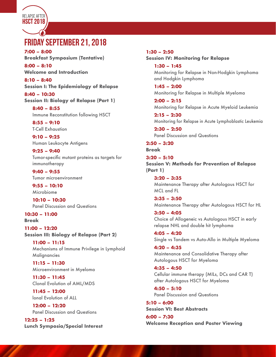## **Friday September 21, 2018**

**7:00 – 8:00 Breakfast Symposium (Tentative)**

**8:00 – 8:10 Welcome and Introduction**

**RELAPSE AFTER HSCT 2018** 

**8:10 – 8:40 Session I: The Epidemiology of Relapse**

**8:40 – 10:30 Session II: Biology of Relapse (Part 1)** 

**8:40 – 8:55** Immune Reconstitution following HSCT

**8:55 – 9:10** T-Cell Exhaustion

**9:10 – 9:25**  Human Leukocyte Antigens

**9:25 – 9:40**  Tumor-specific mutant proteins as targets for immunotherapy

**9:40 – 9:55**  Tumor microenvironment

**9:55 – 10:10**  Microbiome

**10:10 – 10:30**  Panel Discussion and Questions

**10:30 – 11:00 Break**

**11:00 – 12:20 Session III: Biology of Relapse (Part 2)** 

**11:00 – 11:15**  Mechanisms of Immune Privilege in Lymphoid **Malignancies** 

**11:15 – 11:30**  Microenvironment in Myeloma

**11:30 – 11:45**  Clonal Evolution of AML/MDS

**11:45 – 12:00**  lonal Evolution of ALL

**12:00 – 12:20**  Panel Discussion and Questions

**12:25 – 1:25 Lunch Symposia/Special Interest**

#### **1:30 – 2:50**

**Session IV: Monitoring for Relapse** 

**1:30 – 1:45**  Monitoring for Relapse in Non-Hodgkin Lymphoma and Hodgkin Lymphoma

**1:45 – 2:00**  Monitoring for Relapse in Multiple Myeloma

**2:00 – 2:15**  Monitoring for Relapse in Acute Myeloid Leukemia

**2:15 – 2:30**  Monitoring for Relapse in Acute Lymphoblastic Leukemia

**2:30 – 2:50**  Panel Discussion and Questions

**2:50 – 3:20** 

**Break**

**3:20 – 5:10 Session V: Methods for Prevention of Relapse (Part 1)**

**3:20 – 3:35** Maintenance Therapy after Autologous HSCT for MCL and FL

**3:35 – 3:50** Maintenance Therapy after Autologous HSCT for HL

**3:50 – 4:05** Choice of Allogeneic vs Autologous HSCT in early relapse NHL and double hit lymphoma

**4:05 – 4:20** Single vs Tandem vs Auto-Allo in Multiple Myeloma

**4:20 – 4:35** Maintenance and Consolidative Therapy after Autologous HSCT for Myeloma

**4:35 – 4:50** Cellular immune therapy (MILs, DCs and CAR T) after Autologous HSCT for Myeloma

**4:50 – 5:10** Panel Discussion and Questions

**5:10 – 6:00 Session VI: Best Abstracts** 

**6:00 – 7:30 Welcome Reception and Poster Viewing**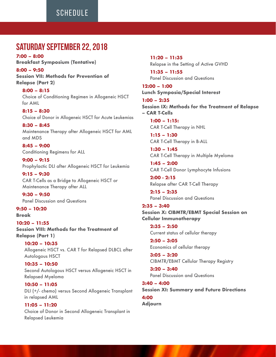### **SCHEDULE**

### **Saturday September 22, 2018**

**7:00 – 8:00 Breakfast Symposium (Tentative)**

**8:00 – 9:50 Session VII: Methods for Prevention of Relapse (Part 2)** 

**8:00 – 8:15** Choice of Conditioning Regimen in Allogeneic HSCT for AML

**8:15 – 8:30** Choice of Donor in Allogeneic HSCT for Acute Leukemias **8:30 – 8:45**

Maintenance Therapy after Allogeneic HSCT for AML and MDS

**8:45 – 9:00** Conditioning Regimens for ALL

**9:00 – 9:15**  Prophylactic DLI after Allogeneic HSCT for Leukemia

**9:15 – 9:30** CAR T-Cells as a Bridge to Allogeneic HSCT or Maintenance Therapy after ALL

**9:30 – 9:50** Panel Discussion and Questions

**9:50 – 10:20 Break**

**10:20 – 11:55 Session VIII: Methods for the Treatment of Relapse (Part 1)** 

**10:20 – 10:35**  Allogeneic HSCT vs. CAR T for Relapsed DLBCL after Autologous HSCT

**10:35 – 10:50**  Second Autologous HSCT versus Allogeneic HSCT in Relapsed Myeloma

**10:50 – 11:05**  DLI (+/- chemo) versus Second Allogeneic Transplant in relapsed AML

**11:05 – 11:20** Choice of Donor in Second Allogeneic Transplant in Relapsed Leukemia

**11:20 – 11:35**  Relapse in the Setting of Active GVHD

**11:35 – 11:55**  Panel Discussion and Questions

**12:00 – 1:00 Lunch Symposia/Special Interest**

**1:00 – 2:35 Session IX: Methods for the Treatment of Relapse – CAR T-Cells**

**1:00 – 1:15:** CAR T-Cell Therapy in NHL

**1:15 – 1:30** CAR T-Cell Therapy in B-ALL

**1:30 – 1:45** CAR T-Cell Therapy in Multiple Myeloma

**1:45 – 2:00** CAR T-Cell Donor Lymphocyte Infusions

**2:00 - 2:15** Relapse after CAR T-Cell Therapy

**2:15 – 2:35** Panel Discussion and Questions

**2:35 – 3:40 Session X: CIBMTR/EBMT Special Session on Cellular Immunotherapy**

**2:35 – 2:50** Current status of cellular therapy

**2:50 – 3:05** Economics of cellular therapy

**3:05 – 3:20** CIBMTR/EBMT Cellular Therapy Registry

**3:20 – 3:40**  Panel Discussion and Questions

**3:40 – 4:00 Session XI: Summary and Future Directions 4:00** 

**Adjourn**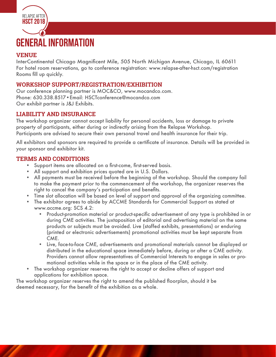

# **GENERAL INFORMATION**

#### **VENUE**

InterContinental Chicago Magnificent Mile, 505 North Michigan Avenue, Chicago, IL 60611 For hotel room reservations, go to conference registration: www.relapse-after-hsct.com/registration Rooms fill up quickly.

#### **WORKSHOP SUPPORT/REGISTRATION/EXHIBITION**

Our conference planning partner is MOC&CO, www.mocandco.com. Phone: 630.338.8517•Email: HSCTconference@mocandco.com Our exhibit partner is J&J Exhibits.

#### **LIABILITY AND INSURANCE**

The workshop organizer cannot accept liability for personal accidents, loss or damage to private property of participants, either during or indirectly arising from the Relapse Workshop. Participants are advised to secure their own personal travel and health insurance for their trip.

All exhibitors and sponsors are required to provide a certificate of insurance. Details will be provided in your sponsor and exhibitor kit.

#### **TERMS AND CONDITIONS**

- Support items are allocated on a first-come, first-served basis.
- All support and exhibition prices quoted are in U.S. Dollars.
- All payments must be received before the beginning of the workshop. Should the company fail to make the payment prior to the commencement of the workshop, the organizer reserves the right to cancel the company's participation and benefits.
- Time slot allocation will be based on level of support and approval of the organizing committee.
- The exhibitor agrees to abide by ACCME Standards for Commercial Support as stated at www.accme.org: SCS 4.2:
	- Product-promotion material or product-specific advertisement of any type is prohibited in or during CME activities. The juxtaposition of editorial and advertising material on the same products or subjects must be avoided. Live (staffed exhibits, presentations) or enduring (printed or electronic advertisements) promotional activities must be kept separate from CME.
	- Live, face-to-face CME, advertisements and promotional materials cannot be displayed or distributed in the educational space immediately before, during or after a CME activity. Providers cannot allow representatives of Commercial Interests to engage in sales or promotional activities while in the space or in the place of the CME activity.
- The workshop organizer reserves the right to accept or decline offers of support and applications for exhibition space.

The workshop organizer reserves the right to amend the published floorplan, should it be deemed necessary, for the benefit of the exhibition as a whole.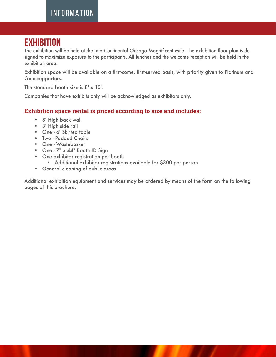### INFORMATION

# **EXHIBITION**

The exhibition will be held at the InterContinental Chicago Magnificent Mile. The exhibition floor plan is designed to maximize exposure to the participants. All lunches and the welcome reception will be held in the exhibition area.

Exhibition space will be available on a first-come, first-served basis, with priority given to Platinum and Gold supporters.

The standard booth size is 8' x 10'.

Companies that have exhibits only will be acknowledged as exhibitors only.

#### **Exhibition space rental is priced according to size and includes:**

- 8' High back wall
- 3' High side rail
- One 6' Skirted table
- Two Padded Chairs
- One Wastebasket
- One 7" x 44" Booth ID Sign
- One exhibitor registration per booth
	- Additional exhibitor registrations available for \$300 per person
- General cleaning of public areas

Additional exhibition equipment and services may be ordered by means of the form on the following pages of this brochure.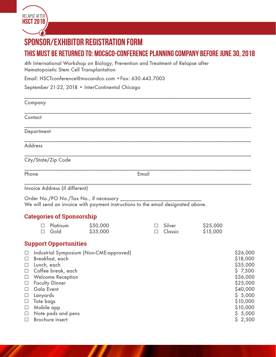

# **sponsor/Exhibitor Registration Form**

## **This must be returned to: MOC&CO-Conference Planning COmpany before June 30, 2018**

4th International Workshop on Biology, Prevention and Treatment of Relapse after Hematopoietic Stem Cell Transplantation

Email: HSCTconference@mocandco.com •Fax: 630.443.7003

September 21-22, 2018 • InterContinental Chicago

| Company                                                                                                |                                                                                                                                                                                                                       |                                                                                                                              |             |                   |                      |                                                                                                                                          |
|--------------------------------------------------------------------------------------------------------|-----------------------------------------------------------------------------------------------------------------------------------------------------------------------------------------------------------------------|------------------------------------------------------------------------------------------------------------------------------|-------------|-------------------|----------------------|------------------------------------------------------------------------------------------------------------------------------------------|
| Contact                                                                                                |                                                                                                                                                                                                                       |                                                                                                                              |             |                   |                      |                                                                                                                                          |
| Department                                                                                             |                                                                                                                                                                                                                       |                                                                                                                              |             |                   |                      |                                                                                                                                          |
| <b>Address</b>                                                                                         |                                                                                                                                                                                                                       |                                                                                                                              |             |                   |                      |                                                                                                                                          |
|                                                                                                        | City/State/Zip Code                                                                                                                                                                                                   |                                                                                                                              |             |                   |                      |                                                                                                                                          |
| Phone                                                                                                  |                                                                                                                                                                                                                       |                                                                                                                              | Email       |                   |                      |                                                                                                                                          |
|                                                                                                        | Invoice Address (if different)                                                                                                                                                                                        |                                                                                                                              |             |                   |                      |                                                                                                                                          |
|                                                                                                        |                                                                                                                                                                                                                       | Order No./PO No./Tax No., if necessary _<br>We will send an invoice with payment instructions to the email designated above. |             |                   |                      |                                                                                                                                          |
|                                                                                                        | <b>Categories of Sponsorship</b>                                                                                                                                                                                      |                                                                                                                              |             |                   |                      |                                                                                                                                          |
|                                                                                                        | Platinum<br>Gold<br>$\Box$                                                                                                                                                                                            | \$50,000<br>\$35,000                                                                                                         | П<br>$\Box$ | Silver<br>Classic | \$25,000<br>\$15,000 |                                                                                                                                          |
|                                                                                                        | <b>Support Opportunities</b>                                                                                                                                                                                          |                                                                                                                              |             |                   |                      |                                                                                                                                          |
| $\Box$<br>$\Box$<br>$\Box$<br>□.<br>$\Box$<br>$\Box$<br>□<br>$\Box$<br>$\Box$<br>$\Box$<br>□<br>$\Box$ | Breakfast, each<br>Lunch, each<br>Coffee break, each<br><b>Welcome Reception</b><br><b>Faculty Dinner</b><br><b>Gala Event</b><br>Lanyards<br>Tote bags<br>Mobile app<br>Note pads and pens<br><b>Brochure</b> insert | <b>Industrial Symposium (Non-CME-approved)</b>                                                                               |             |                   |                      | \$26,000<br>\$18,000<br>\$35,000<br>\$7,500<br>\$36,000<br>\$25,000<br>\$40,000<br>\$5,000<br>\$10,000<br>\$10,000<br>\$5,000<br>\$2,500 |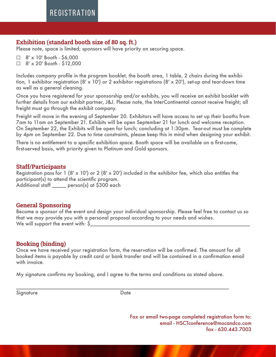### **REGISTRATION**

#### **Exhibition (standard booth size of 80 sq. ft.)**

Please note, space is limited; sponsors will have priority on securing space.

 $\Box$  8' x 10' Booth - \$6,000  $\Box$  8' x 20' Booth - \$12,000

Includes company profile in the program booklet, the booth area, 1 table, 2 chairs during the exhibition, 1 exhibitor registration (8' x 10') or 2 exhibitor registrations (8' x 20'), set-up and tear-down time as well as a general cleaning.

Once you have registered for your sponsorship and/or exhibits, you will receive an exhibit booklet with further details from our exhibit partner, J&J. Please note, the InterContinental cannot receive freight; all freight must go through the exhibit company.

Freight will move in the evening of September 20. Exhibitors will have access to set up their booths from 7am to 11am on September 21. Exhibits will be open September 21 for lunch and welcome reception. On September 22, the Exhibits will be open for lunch; concluding at 1:30pm. Tear-out must be complete by 4pm on September 22. Due to time constraints, please keep this in mind when designing your exhibit.

There is no entitlement to a specific exhibition space. Booth space will be available on a first-come, first-served basis, with priority given to Platinum and Gold sponsors.

#### **Staff/Participants**

Registration pass for 1 (8'  $\times$  10') or 2 (8'  $\times$  20') included in the exhibitor fee, which also entitles the participant(s) to attend the scientific program. Additional staff \_\_\_\_\_ person(s) at \$300 each

#### **General Sponsoring**

Become a sponsor of the event and design your individual sponsorship. Please feel free to contact us so that we may provide you with a personal proposal according to your needs and wishes. We will support the event with:  $\zeta$ 

#### **Booking (binding)**

Once we have received your registration form, the reservation will be confirmed. The amount for all booked items is payable by credit card or bank transfer and will be contained in a confirmation email with invoice.

My signature confirms my booking, and I agree to the terms and conditions as stated above.

Signature Date

\_\_\_\_\_\_\_\_\_\_\_\_\_\_\_\_\_\_\_\_\_\_\_\_\_\_\_\_\_\_\_\_\_\_\_\_\_\_\_\_\_\_\_\_\_\_\_\_\_\_\_\_\_\_\_\_\_\_\_\_\_\_\_\_\_\_\_\_\_\_\_\_\_\_\_\_

Fax or email two-page completed registration form to: email - HSCTconference@mocandco.com fax - 630.443.7003